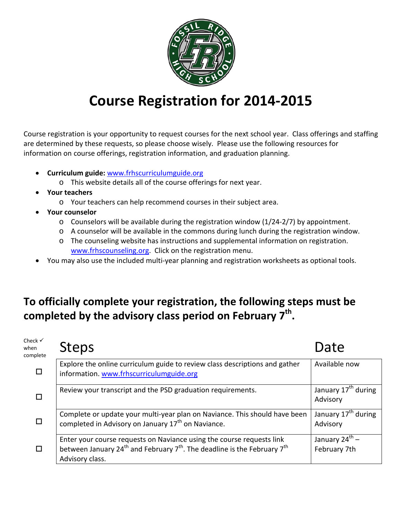

### **Course Registration for 2014-2015**

Course registration is your opportunity to request courses for the next school year. Class offerings and staffing are determined by these requests, so please choose wisely. Please use the following resources for information on course offerings, registration information, and graduation planning.

- **Curriculum guide:** [www.frhscurriculumguide.org](http://www.frhscurriculumguide.org/)
	- o This website details all of the course offerings for next year.
- **Your teachers**
	- o Your teachers can help recommend courses in their subject area.
- **Your counselor**
	- $\circ$  Counselors will be available during the registration window (1/24-2/7) by appointment.
	- o A counselor will be available in the commons during lunch during the registration window.
	- o The counseling website has instructions and supplemental information on registration. [www.frhscounseling.org.](http://www.frhscounseling.org/) Click on the registration menu.
- You may also use the included multi-year planning and registration worksheets as optional tools.

### **To officially complete your registration, the following steps must be completed by the advisory class period on February 7th.**

| Check $\checkmark$<br>when<br>complete | <b>Steps</b>                                                                                                                                                                                             | Date                                        |
|----------------------------------------|----------------------------------------------------------------------------------------------------------------------------------------------------------------------------------------------------------|---------------------------------------------|
|                                        | Explore the online curriculum guide to review class descriptions and gather<br>information. www.frhscurriculumguide.org                                                                                  | Available now                               |
|                                        | Review your transcript and the PSD graduation requirements.                                                                                                                                              | January 17 <sup>th</sup> during<br>Advisory |
|                                        | Complete or update your multi-year plan on Naviance. This should have been<br>completed in Advisory on January 17 <sup>th</sup> on Naviance.                                                             | January 17 <sup>th</sup> during<br>Advisory |
|                                        | Enter your course requests on Naviance using the course requests link<br>between January 24 <sup>th</sup> and February 7 <sup>th</sup> . The deadline is the February 7 <sup>th</sup><br>Advisory class. | January $24^{\text{th}}$ –<br>February 7th  |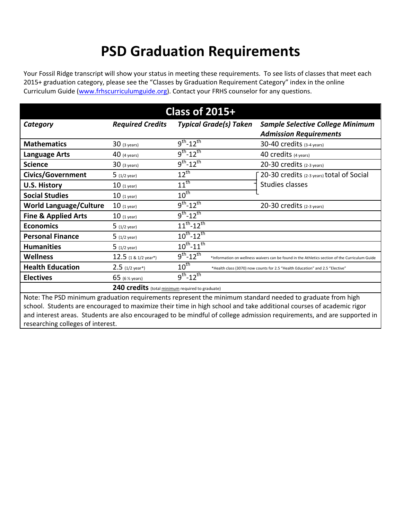### **PSD Graduation Requirements**

Your Fossil Ridge transcript will show your status in meeting these requirements. To see lists of classes that meet each 2015+ graduation category, please see the "Classes by Graduation Requirement Category" index in the online Curriculum Guide [\(www.frhscurriculumguide.org\)](http://www.frhscurriculumguide.org/). Contact your FRHS counselor for any questions.

|                                |                                                  | <b>Class of 2015+</b>       |                               |                                                                                                                                                                                                                                                                                                                                                            |
|--------------------------------|--------------------------------------------------|-----------------------------|-------------------------------|------------------------------------------------------------------------------------------------------------------------------------------------------------------------------------------------------------------------------------------------------------------------------------------------------------------------------------------------------------|
| Category                       | <b>Required Credits</b>                          |                             | <b>Typical Grade(s) Taken</b> | <b>Sample Selective College Minimum</b>                                                                                                                                                                                                                                                                                                                    |
|                                |                                                  |                             |                               | <b>Admission Requirements</b>                                                                                                                                                                                                                                                                                                                              |
| <b>Mathematics</b>             | $30$ (3 years)                                   | $9^{th} - 12^{th}$          |                               | 30-40 credits (3-4 years)                                                                                                                                                                                                                                                                                                                                  |
| <b>Language Arts</b>           | $40$ (4 years)                                   | $9^{th} - 12^{th}$          |                               | 40 credits (4 years)                                                                                                                                                                                                                                                                                                                                       |
| <b>Science</b>                 | $30$ (3 years)                                   | $9^{th} - 12^{th}$          |                               | 20-30 credits (2-3 years)                                                                                                                                                                                                                                                                                                                                  |
| <b>Civics/Government</b>       | $5(1/2 \text{ year})$                            | $12^{th}$                   |                               | 20-30 credits (2-3 years) total of Social                                                                                                                                                                                                                                                                                                                  |
| <b>U.S. History</b>            | $10$ (1 year)                                    | $11^{th}$                   |                               | <b>Studies classes</b>                                                                                                                                                                                                                                                                                                                                     |
| <b>Social Studies</b>          | $10$ (1 year)                                    | $10^{\text{th}}$            |                               |                                                                                                                                                                                                                                                                                                                                                            |
| <b>World Language/Culture</b>  | $10$ (1 year)                                    | $9^{th}$ -12 <sup>th</sup>  |                               | 20-30 credits (2-3 years)                                                                                                                                                                                                                                                                                                                                  |
| <b>Fine &amp; Applied Arts</b> | $10$ (1 year)                                    | $9^{th} - 12^{th}$          |                               |                                                                                                                                                                                                                                                                                                                                                            |
| <b>Economics</b>               | $5(1/2 \text{ year})$                            | $11^{th} - 12^{th}$         |                               |                                                                                                                                                                                                                                                                                                                                                            |
| <b>Personal Finance</b>        | $5(1/2 \text{ year})$                            | $10^{th}$ -12 <sup>th</sup> |                               |                                                                                                                                                                                                                                                                                                                                                            |
| <b>Humanities</b>              | $5(1/2 \text{ year})$                            | $10^{th}$ -11 <sup>th</sup> |                               |                                                                                                                                                                                                                                                                                                                                                            |
| <b>Wellness</b>                | $12.5$ (1 & 1/2 year*)                           | $9^{th} - 12^{th}$          |                               | *Information on wellness waivers can be found in the Athletics section of the Curriculum Guide                                                                                                                                                                                                                                                             |
| <b>Health Education</b>        | $2.5$ (1/2 year*)                                | $10^{\text{th}}$            |                               | *Health class (3070) now counts for 2.5 "Health Education" and 2.5 "Elective"                                                                                                                                                                                                                                                                              |
| <b>Electives</b>               | 65 (6 $%$ years)                                 | $9^{th} - 12^{th}$          |                               |                                                                                                                                                                                                                                                                                                                                                            |
|                                | 240 credits (total minimum required to graduate) |                             |                               |                                                                                                                                                                                                                                                                                                                                                            |
|                                |                                                  |                             |                               | Note: The PSD minimum graduation requirements represent the minimum standard needed to graduate from high<br>school. Students are encouraged to maximize their time in high school and take additional courses of academic rigor<br>and interest areas. Students are also encouraged to be mindful of college admission requirements, and are supported in |

and interest areas. Students are also encouraged to be mindful of college admission requirements, and are supported in researching colleges of interest.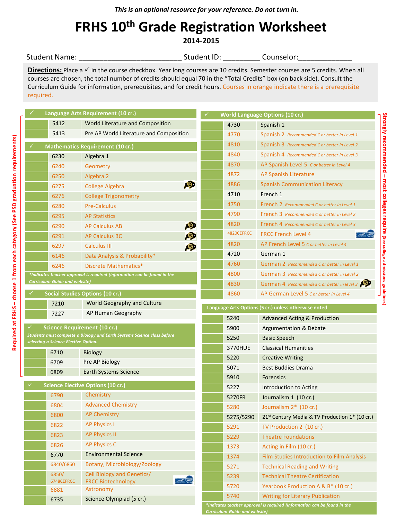### **FRHS 10th Grade Registration Worksheet 2014-2015**

#### Student Name: \_\_\_\_\_\_\_\_\_\_\_\_\_\_\_\_\_\_\_\_\_\_\_\_\_\_\_\_\_\_\_\_\_\_\_Student ID: \_\_\_\_\_\_\_\_\_\_\_\_\_\_\_Counselor: \_\_\_\_\_\_\_\_\_\_\_\_\_\_\_\_\_\_\_\_\_\_\_

Directions: Place a √ in the course checkbox. Year long courses are 10 credits. Semester courses are 5 credits. When all courses are chosen, the total number of credits should equal 70 in the "Total Credits" box (on back side). Consult the Curriculum Guide for information, prerequisites, and for credit hours. Courses in orange indicate there is a prerequisite required.

|                                      | Language Arts Requirement (10 cr.)                                       | ✓ |            | <b>World Language Options (10 cr.)</b>                     |
|--------------------------------------|--------------------------------------------------------------------------|---|------------|------------------------------------------------------------|
| 5412                                 | World Literature and Composition                                         |   | 4730       | Spanish 1                                                  |
| 5413                                 | Pre AP World Literature and Composition                                  |   | 4770       | Spanish 2 Recommended C or better in Level 1               |
|                                      | <b>Mathematics Requirement (10 cr.)</b>                                  |   | 4810       | Spanish 3 Recommended C or better in Level 2               |
| 6230                                 | Algebra 1                                                                |   | 4840       | Spanish 4 Recommended C or better in Level 3               |
| 6240                                 | Geometry                                                                 |   | 4870       | AP Spanish Level 5 C or better in Level 4                  |
| 6250                                 | Algebra 2                                                                |   | 4872       | AP Spanish Literature                                      |
| 6275                                 | ÆD<br><b>College Algebra</b>                                             |   | 4886       | <b>Spanish Communication Literacy</b>                      |
| 6276                                 | <b>College Trigonometry</b>                                              |   | 4710       | French 1                                                   |
| 6280                                 | <b>Pre-Calculus</b>                                                      |   | 4750       | French 2 Recommended C or better in Level 1                |
| 6295                                 | <b>AP Statistics</b>                                                     |   | 4790       | <b>French 3</b> Recommended C or better in Level 2         |
| 6290                                 | 匈<br><b>AP Calculus AB</b>                                               |   | 4820       | <b>French 4</b> Recommended C or better in Level 3         |
| 6291                                 | 噢<br><b>AP Calculus BC</b>                                               |   | 4820CEFRCC | <b>FRCC French Level 4</b>                                 |
| 6297                                 | рĐ<br><b>Calculus III</b>                                                |   | 4820       | AP French Level 5 C or better in Level 4                   |
| 6146                                 | Data Analysis & Probability*                                             |   | 4720       | German 1                                                   |
| 6246                                 | Discrete Mathematics*                                                    |   | 4760       | German 2 Recommended C or better in Level 1                |
|                                      | *Indicates teacher approval is required (information can be found in the |   | 4800       | German 3 Recommended C or better in Level 2                |
| <b>Curriculum Guide and website)</b> |                                                                          |   | 4830       | German 4 Recommended C or better in level 3 PD             |
|                                      | Social Studies Options (10 cr.)                                          |   | 4860       | AP German Level 5 C or better in Level 4                   |
| 7210                                 | World Geography and Culture                                              |   |            |                                                            |
|                                      |                                                                          |   |            | Language Arts Options (5 cr.) unless otherwise noted       |
| 7227                                 | AP Human Geography                                                       |   | 5240       | <b>Advanced Acting &amp; Production</b>                    |
|                                      | <b>Science Requirement (10 cr.)</b>                                      |   | 5900       | Argumentation & Debate                                     |
|                                      | Students must complete a Biology and Earth Systems Science class before  |   | 5250       | Basic Speech                                               |
| selecting a Science Elective Option. |                                                                          |   | 3770HUE    | <b>Classical Humanities</b>                                |
| 6710                                 | <b>Biology</b>                                                           |   | 5220       | <b>Creative Writing</b>                                    |
| 6709                                 | Pre AP Biology                                                           |   | 5071       | <b>Best Buddies Drama</b>                                  |
| 6809                                 | <b>Earth Systems Science</b>                                             |   | 5910       | <b>Forensics</b>                                           |
|                                      | <b>Science Elective Options (10 cr.)</b>                                 |   | 5227       | Introduction to Acting                                     |
| 6790                                 | Chemistry                                                                |   | 5270FR     | Journalism 1 (10 cr.)                                      |
| 6804                                 | <b>Advanced Chemistry</b>                                                |   | 5280       | Journalism 2* (10 cr.)                                     |
| 6800                                 | <b>AP Chemistry</b>                                                      |   | 5275/5290  | 21 <sup>st</sup> Century Media & TV Production 1* (10 cr.) |
| 6822                                 | <b>AP Physics I</b>                                                      |   | 5291       | TV Production 2 (10 cr.)                                   |
| 6823                                 | <b>AP Physics II</b>                                                     |   | 5229       | <b>Theatre Foundations</b>                                 |
| 6826                                 | <b>AP Physics C</b>                                                      |   | 1373       | Acting in Film (10 cr.)                                    |
| 6770                                 | <b>Environmental Science</b>                                             |   | 1374       | Film Studies Introduction to Film Analysis                 |
| 6840/6860                            | Botany, Microbiology/Zoology                                             |   | 5271       | <b>Technical Reading and Writing</b>                       |
| 6850/                                | Cell Biology and Genetics/                                               |   | 5239       | <b>Technical Theatre Certification</b>                     |
| 6748CEFRCC<br>6881                   | $\frac{1}{\sqrt{2}}$<br><b>FRCC Biotechnology</b><br>Astronomy           |   | 5720       | Yearbook Production A & B* (10 cr.)                        |
| 6735                                 | Science Olympiad (5 cr.)                                                 |   | 5740       | <b>Writing for Literary Publication</b>                    |

*Curriculum Guide and website)*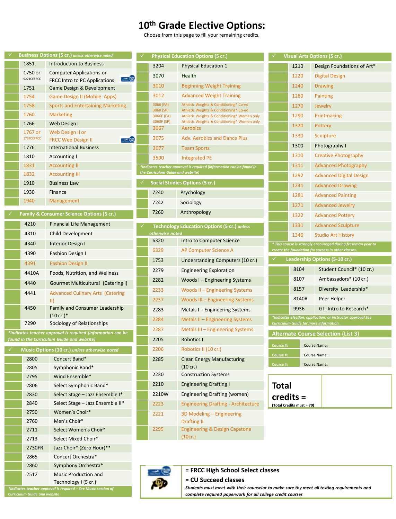### **10th Grade Elective Options:**

Choose from this page to fill your remaining credits.

|                                     | <b>Business Options (5 cr.)</b> unless otherwise noted            |                                   | <b>Physical Education Options (5 cr.)</b>                                                                                                                |              |                           | <b>Visual Arts Options (5 cr.)</b>                                                                     |
|-------------------------------------|-------------------------------------------------------------------|-----------------------------------|----------------------------------------------------------------------------------------------------------------------------------------------------------|--------------|---------------------------|--------------------------------------------------------------------------------------------------------|
| 1851                                | Introduction to Business                                          | 3204                              | <b>Physical Education 1</b>                                                                                                                              |              | 1210                      | Design Foundations of Art*                                                                             |
| 1750 or<br>9271CEFRCC               | <b>Computer Applications or</b><br><b>COLLEGE COLLEGE</b>         | 3070                              | Health                                                                                                                                                   |              | 1220                      | <b>Digital Design</b>                                                                                  |
| 1751                                | <b>FRCC Intro to PC Applications</b><br>Game Design & Development | 3010                              | <b>Beginning Weight Training</b>                                                                                                                         |              | 1240                      | <b>Drawing</b>                                                                                         |
| 1754                                | Game Design II (Mobile Apps)                                      | 3012                              | <b>Advanced Weight Training</b>                                                                                                                          |              | 1280                      | Painting                                                                                               |
| 1758                                | <b>Sports and Entertaining Marketing</b>                          | 3066 (FA)                         | Athletic Weights & Conditioning* Co-ed                                                                                                                   |              | 1270                      | <b>Jewelry</b>                                                                                         |
| 1760                                | <b>Marketing</b>                                                  | 3068 (SP)<br>3066F (FA)           | Athletic Weights & Conditioning* Co-ed<br>Athletic Weights & Conditioning* Women only                                                                    |              | 1290                      | Printmaking                                                                                            |
| 1766                                | Web Design I                                                      | 3068F (SP)                        | Athletic Weights & Conditioning* Women only                                                                                                              |              | 1320                      | Pottery                                                                                                |
| 1767 or                             | Web Design II or                                                  | 3067                              | <b>Aerobics</b>                                                                                                                                          |              | 1330                      |                                                                                                        |
| 1767CEFRCC                          | <b>COLEER</b><br><b>FRCC Web Design II</b>                        | 3075                              | <b>Adv. Aerobics and Dance Plus</b>                                                                                                                      |              |                           | Sculpture                                                                                              |
| 1776                                | <b>International Business</b>                                     | 3077                              | <b>Team Sports</b>                                                                                                                                       |              | 1300                      | Photography I                                                                                          |
| 1810                                | Accounting I                                                      | 3590                              | Integrated PE                                                                                                                                            |              | 1310                      | <b>Creative Photography</b>                                                                            |
| 1831                                | <b>Accounting II</b>                                              | the Curriculum Guide and website) | *Indicates teacher approval is required (information can be found in                                                                                     |              | 1311                      | <b>Advanced Photography</b>                                                                            |
| 1832                                | <b>Accounting III</b>                                             |                                   | <b>Social Studies Options (5 cr.)</b>                                                                                                                    |              | 1292                      | <b>Advanced Digital Design</b>                                                                         |
| 1910<br>1930                        | <b>Business Law</b><br>Finance                                    |                                   |                                                                                                                                                          |              | 1241                      | <b>Advanced Drawing</b>                                                                                |
| 1940                                | Management                                                        | 7240                              | Psychology                                                                                                                                               |              | 1281                      | <b>Advanced Painting</b>                                                                               |
|                                     |                                                                   | 7242                              | Sociology                                                                                                                                                |              | 1271                      | <b>Advanced Jewelry</b>                                                                                |
|                                     | Family & Consumer Science Options (5 cr.)                         | 7260                              | Anthropology                                                                                                                                             |              | 1322                      | <b>Advanced Pottery</b>                                                                                |
| 4210                                | <b>Financial Life Management</b>                                  |                                   | <b>Technology Education Options (5 cr.) unless</b>                                                                                                       |              | 1331                      | <b>Advanced Sculpture</b>                                                                              |
| 4310                                | Child Development                                                 | otherwise noted                   |                                                                                                                                                          |              | 1340                      | <b>Studio Art History</b>                                                                              |
| 4340                                | Interior Design I                                                 | 6320                              | Intro to Computer Science                                                                                                                                |              |                           | * This course is strongly encouraged during freshman year to                                           |
| 4390                                | <b>Fashion Design I</b>                                           | 6329                              | AP Computer Science A                                                                                                                                    |              |                           | create the foundation for success in other classes                                                     |
| 4391                                | <b>Fashion Design II</b>                                          | 1753                              | Understanding Computers (10 cr.)                                                                                                                         | ✓            |                           | Leadership Options (5-10 cr.)                                                                          |
| 4410A                               | Foods, Nutrition, and Wellness                                    | 2279                              | <b>Engineering Exploration</b>                                                                                                                           |              | 8104                      | Student Council* (10 cr.)                                                                              |
| 4440                                | Gourmet Multicultural (Catering I)                                | 2282                              | Woods I - Engineering Systems                                                                                                                            |              | 8107                      | Ambassadors* (10 cr.)                                                                                  |
| 4441                                | <b>Advanced Culinary Arts (Catering</b>                           | 2233                              | Woods II – Engineering Systems                                                                                                                           |              | 8157                      | Diversity Leadership*                                                                                  |
|                                     | $\parallel$                                                       | 2237                              | Woods III - Engineering Systems                                                                                                                          |              | 8140R                     | Peer Helper                                                                                            |
| 4450                                | Family and Consumer Leadership                                    | 2283                              | Metals I – Engineering Systems                                                                                                                           |              | 9936                      | GT: Intro to Research*                                                                                 |
| 7290                                | $(10 \text{ cr.})^*$<br>Sociology of Relationships                | 2284                              | Metals II - Engineering Systems                                                                                                                          |              |                           | *Indicates election, application, or instructor approval See<br>Curriculum Guide for more information. |
|                                     | *Indicates teacher approval is required (information can be       | 2287                              | Metals III - Engineering Systems                                                                                                                         |              |                           |                                                                                                        |
|                                     | found in the Curriculum Guide and website)                        | 2205                              | Robotics I                                                                                                                                               |              |                           | <b>Alternate Course Selection (List 3)</b>                                                             |
|                                     | Music Options (10 cr.) unless otherwise noted                     | 2206                              | Robotics II (10 cr.)                                                                                                                                     | Course #:    |                           | <b>Course Name:</b>                                                                                    |
|                                     | 2800 Concert Band*                                                | 2285                              | <b>Clean Energy Manufacturing</b>                                                                                                                        | Course #:    |                           | Course Name:                                                                                           |
| 2805                                | Symphonic Band*                                                   |                                   | $(10 \text{ cr.})$                                                                                                                                       | Course #:    |                           | Course Name:                                                                                           |
| 2795                                | Wind Ensemble*                                                    | 2230                              | <b>Construction Systems</b>                                                                                                                              |              |                           |                                                                                                        |
| 2806                                | Select Symphonic Band*                                            | 2210                              | <b>Engineering Drafting I</b>                                                                                                                            | <b>Total</b> |                           |                                                                                                        |
| 2830                                | Select Stage - Jazz Ensemble I*                                   | 2210W                             | Engineering Drafting (women)                                                                                                                             |              | credits =                 |                                                                                                        |
| 2840                                | Select Stage - Jazz Ensemble II*                                  | 2223                              | <b>Engineering Drafting - Architecture</b>                                                                                                               |              | (Total Credits must = 70) |                                                                                                        |
| 2750                                | Women's Choir*                                                    | 2221                              | 3D Modeling - Engineering                                                                                                                                |              |                           |                                                                                                        |
| 2760                                | Men's Choir*                                                      |                                   | <b>Drafting II</b>                                                                                                                                       |              |                           |                                                                                                        |
| 2711                                | Select Women's Choir*                                             | 2295                              | <b>Engineering &amp; Design Capstone</b><br>(10cr.)                                                                                                      |              |                           |                                                                                                        |
| 2713<br>2730FR                      | Select Mixed Choir*                                               |                                   |                                                                                                                                                          |              |                           |                                                                                                        |
| 2865                                | Jazz Choir* (Zero Hour)**<br>Concert Orchestra*                   |                                   |                                                                                                                                                          |              |                           |                                                                                                        |
| 2860                                | Symphony Orchestra*                                               |                                   |                                                                                                                                                          |              |                           |                                                                                                        |
| 2512                                | Music Production and                                              |                                   | = FRCC High School Select classes                                                                                                                        |              |                           |                                                                                                        |
|                                     | Technology I (5 cr.)                                              |                                   | = CU Succeed classes                                                                                                                                     |              |                           |                                                                                                        |
| <b>Curriculum Guide and website</b> | *Indicates teacher approval is required - See Music section of    |                                   | Students must meet with their counselor to make sure thy meet all testing requirements and<br>complete required paperwork for all college credit courses |              |                           |                                                                                                        |